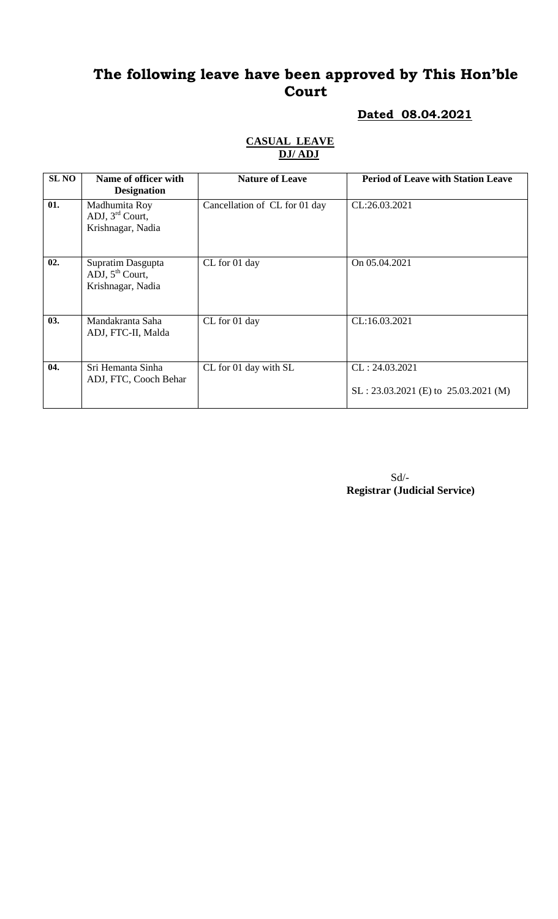#### **Dated 08.04.2021**

| <b>SL NO</b> | Name of officer with<br><b>Designation</b>                            | <b>Nature of Leave</b>        | <b>Period of Leave with Station Leave</b>                |
|--------------|-----------------------------------------------------------------------|-------------------------------|----------------------------------------------------------|
| 01.          | Madhumita Roy<br>ADJ, $3rd$ Court,<br>Krishnagar, Nadia               | Cancellation of CL for 01 day | CL:26.03.2021                                            |
| 02.          | Supratim Dasgupta<br>ADJ, 5 <sup>th</sup> Court,<br>Krishnagar, Nadia | CL for 01 day                 | On 05.04.2021                                            |
| 03.          | Mandakranta Saha<br>ADJ, FTC-II, Malda                                | CL for 01 day                 | CL:16.03.2021                                            |
| 04.          | Sri Hemanta Sinha<br>ADJ, FTC, Cooch Behar                            | CL for 01 day with SL         | CL: 24.03.2021<br>$SL: 23.03.2021$ (E) to 25.03.2021 (M) |

#### **CASUAL LEAVE DJ/ ADJ**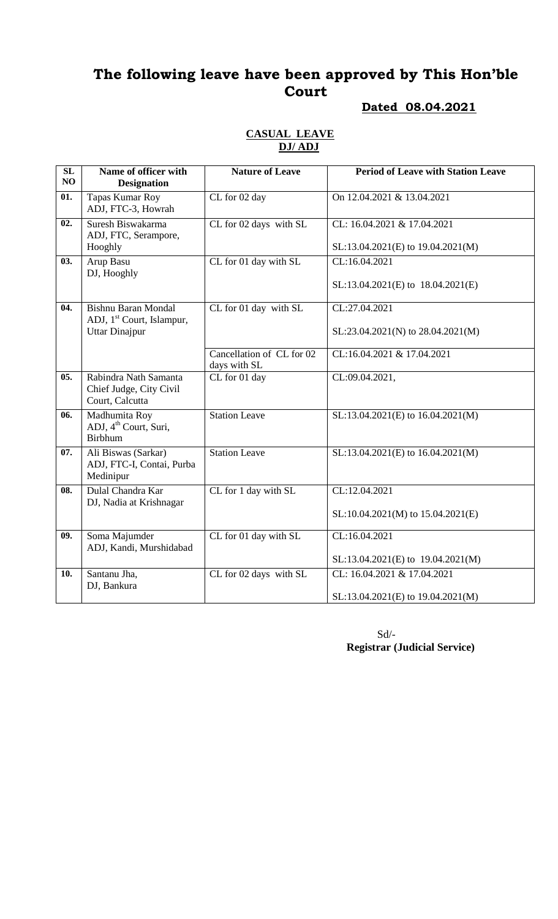#### **Dated 08.04.2021**

#### **CASUAL LEAVE DJ/ ADJ**

| SL<br>NO          | Name of officer with<br><b>Designation</b>                                                   | <b>Nature of Leave</b>                             | <b>Period of Leave with Station Leave</b>                                        |
|-------------------|----------------------------------------------------------------------------------------------|----------------------------------------------------|----------------------------------------------------------------------------------|
| 01.               | Tapas Kumar Roy<br>ADJ, FTC-3, Howrah                                                        | CL for 02 day                                      | On 12.04.2021 & 13.04.2021                                                       |
| 02.               | Suresh Biswakarma<br>ADJ, FTC, Serampore,<br>Hooghly                                         | CL for 02 days with SL                             | CL: 16.04.2021 & 17.04.2021<br>SL:13.04.2021(E) to 19.04.2021(M)                 |
| 03.               | Arup Basu<br>DJ, Hooghly                                                                     | CL for 01 day with SL                              | CL:16.04.2021<br>SL:13.04.2021(E) to 18.04.2021(E)                               |
| 04.               | <b>Bishnu Baran Mondal</b><br>ADJ, 1 <sup>st</sup> Court, Islampur,<br><b>Uttar Dinajpur</b> | CL for 01 day with SL<br>Cancellation of CL for 02 | CL:27.04.2021<br>SL:23.04.2021(N) to 28.04.2021(M)<br>CL:16.04.2021 & 17.04.2021 |
| 05.               | Rabindra Nath Samanta<br>Chief Judge, City Civil<br>Court, Calcutta                          | days with SL<br>CL for 01 day                      | CL:09.04.2021,                                                                   |
| 06.               | Madhumita Roy<br>ADJ, 4 <sup>th</sup> Court, Suri,<br><b>Birbhum</b>                         | <b>Station Leave</b>                               | SL:13.04.2021(E) to 16.04.2021(M)                                                |
| 07.               | Ali Biswas (Sarkar)<br>ADJ, FTC-I, Contai, Purba<br>Medinipur                                | <b>Station Leave</b>                               | SL:13.04.2021(E) to 16.04.2021(M)                                                |
| $\overline{08}$ . | Dulal Chandra Kar<br>DJ, Nadia at Krishnagar                                                 | CL for 1 day with SL                               | CL:12.04.2021<br>$SL:10.04.2021(M)$ to $15.04.2021(E)$                           |
| 09.               | Soma Majumder<br>ADJ, Kandi, Murshidabad                                                     | CL for 01 day with SL                              | CL:16.04.2021<br>$SL:13.04.2021(E)$ to $19.04.2021(M)$                           |
| 10.               | Santanu Jha,<br>DJ, Bankura                                                                  | CL for 02 days with SL                             | CL: 16.04.2021 & 17.04.2021<br>SL:13.04.2021(E) to 19.04.2021(M)                 |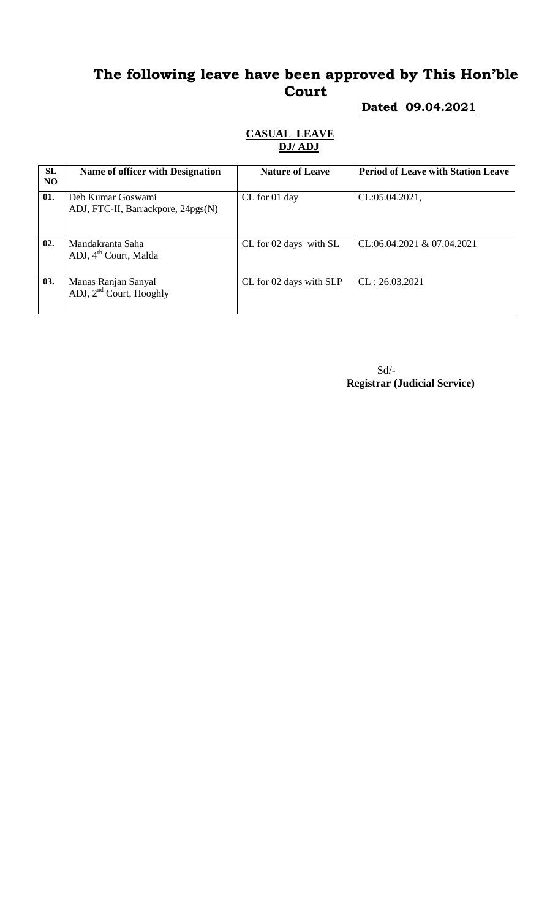## **Dated 09.04.2021**

### **CASUAL LEAVE DJ/ ADJ**

| <b>SL</b><br>N <sub>O</sub> | Name of officer with Designation                           | <b>Nature of Leave</b>  | <b>Period of Leave with Station Leave</b> |
|-----------------------------|------------------------------------------------------------|-------------------------|-------------------------------------------|
| 01.                         | Deb Kumar Goswami<br>ADJ, FTC-II, Barrackpore, 24pgs(N)    | CL for 01 day           | CL:05.04.2021,                            |
| 02.                         | Mandakranta Saha<br>ADJ, 4 <sup>th</sup> Court, Malda      | CL for 02 days with SL  | CL:06.04.2021 & 07.04.2021                |
| 03.                         | Manas Ranjan Sanyal<br>ADJ, 2 <sup>nd</sup> Court, Hooghly | CL for 02 days with SLP | CL: 26.03.2021                            |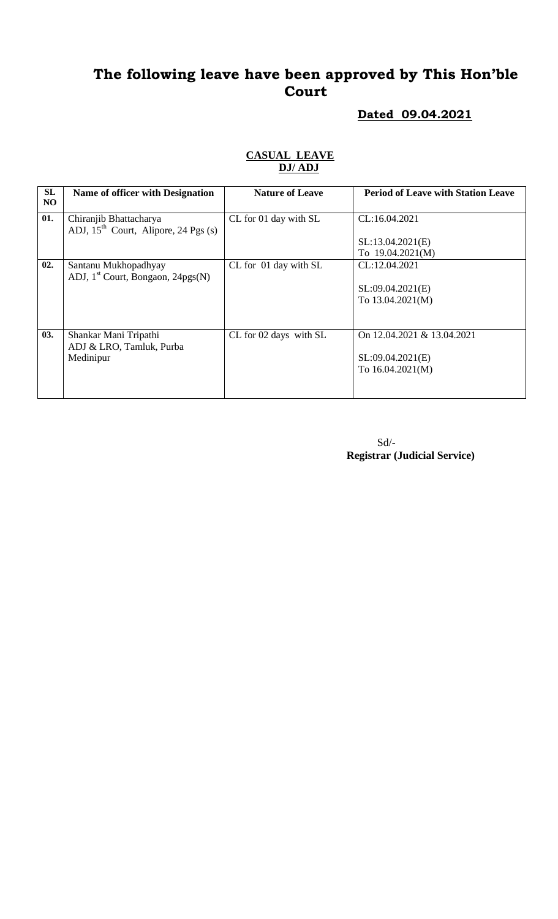### **Dated 09.04.2021**

| SL             | Name of officer with Designation          | <b>Nature of Leave</b> | <b>Period of Leave with Station Leave</b> |
|----------------|-------------------------------------------|------------------------|-------------------------------------------|
| N <sub>O</sub> |                                           |                        |                                           |
| 01.            | Chiranjib Bhattacharya                    | CL for 01 day with SL  | CL:16.04.2021                             |
|                | ADJ, $15^{th}$ Court, Alipore, 24 Pgs (s) |                        |                                           |
|                |                                           |                        | SL:13.04.2021(E)                          |
|                |                                           |                        | To $19.04.2021(M)$                        |
| 02.            | Santanu Mukhopadhyay                      | CL for 01 day with SL  | CL:12.04.2021                             |
|                | ADJ, $1st$ Court, Bongaon, 24pgs(N)       |                        |                                           |
|                |                                           |                        | SL:09.04.2021(E)                          |
|                |                                           |                        | To 13.04.2021(M)                          |
|                |                                           |                        |                                           |
|                |                                           |                        |                                           |
| 03.            | Shankar Mani Tripathi                     | CL for 02 days with SL | On 12.04.2021 & 13.04.2021                |
|                | ADJ & LRO, Tamluk, Purba                  |                        |                                           |
|                | Medinipur                                 |                        | SL:09.04.2021(E)                          |
|                |                                           |                        | To $16.04.2021(M)$                        |
|                |                                           |                        |                                           |
|                |                                           |                        |                                           |

#### **CASUAL LEAVE DJ/ ADJ**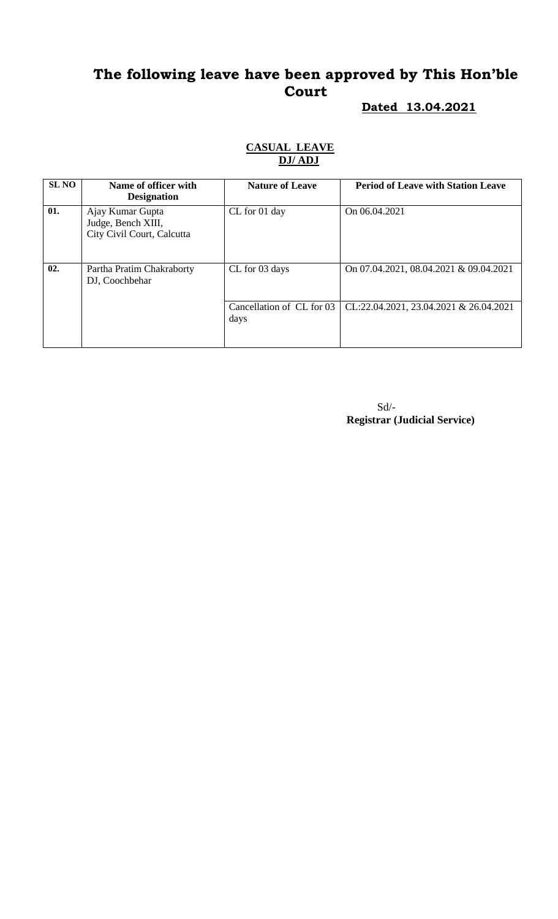#### **Dated 13.04.2021**

| <b>SL NO</b> | Name of officer with<br><b>Designation</b>                           | <b>Nature of Leave</b>            | <b>Period of Leave with Station Leave</b> |
|--------------|----------------------------------------------------------------------|-----------------------------------|-------------------------------------------|
| 01.          | Ajay Kumar Gupta<br>Judge, Bench XIII,<br>City Civil Court, Calcutta | CL for 01 day                     | On 06.04.2021                             |
| 02.          | Partha Pratim Chakraborty<br>DJ, Coochbehar                          | CL for 03 days                    | On 07.04.2021, 08.04.2021 & 09.04.2021    |
|              |                                                                      | Cancellation of CL for 03<br>days | CL:22.04.2021, 23.04.2021 & 26.04.2021    |

#### **CASUAL LEAVE DJ/ ADJ**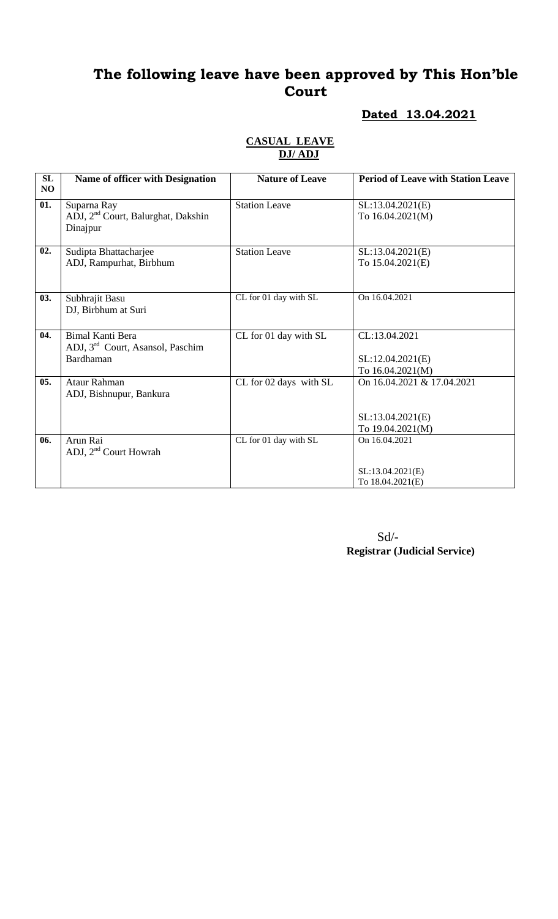#### **Dated 13.04.2021**

| SL  | Name of officer with Designation               | <b>Nature of Leave</b> | <b>Period of Leave with Station Leave</b> |
|-----|------------------------------------------------|------------------------|-------------------------------------------|
| NO  |                                                |                        |                                           |
| 01. | Suparna Ray                                    | <b>Station Leave</b>   | SL:13.04.2021(E)                          |
|     | ADJ, 2 <sup>nd</sup> Court, Balurghat, Dakshin |                        | To 16.04.2021(M)                          |
|     | Dinajpur                                       |                        |                                           |
|     |                                                |                        |                                           |
| 02. | Sudipta Bhattacharjee                          | <b>Station Leave</b>   | SL:13.04.2021(E)                          |
|     | ADJ, Rampurhat, Birbhum                        |                        | To 15.04.2021(E)                          |
|     |                                                |                        |                                           |
|     |                                                |                        |                                           |
| 03. | Subhrajit Basu                                 | CL for 01 day with SL  | On 16.04.2021                             |
|     | DJ, Birbhum at Suri                            |                        |                                           |
|     |                                                |                        |                                           |
| 04. | <b>Bimal Kanti Bera</b>                        | CL for 01 day with SL  | CL:13.04.2021                             |
|     | ADJ, 3 <sup>rd</sup> Court, Asansol, Paschim   |                        |                                           |
|     | Bardhaman                                      |                        | SL:12.04.2021(E)                          |
|     |                                                |                        | To 16.04.2021(M)                          |
| 05. | Ataur Rahman                                   | CL for 02 days with SL | On 16.04.2021 & 17.04.2021                |
|     | ADJ, Bishnupur, Bankura                        |                        |                                           |
|     |                                                |                        |                                           |
|     |                                                |                        | SL:13.04.2021(E)                          |
|     |                                                |                        | To 19.04.2021(M)                          |
| 06. | Arun Rai                                       | CL for 01 day with SL  | On 16.04.2021                             |
|     | ADJ, 2 <sup>nd</sup> Court Howrah              |                        |                                           |
|     |                                                |                        |                                           |
|     |                                                |                        | SL:13.04.2021(E)                          |
|     |                                                |                        | To 18.04.2021(E)                          |

#### **CASUAL LEAVE DJ/ ADJ**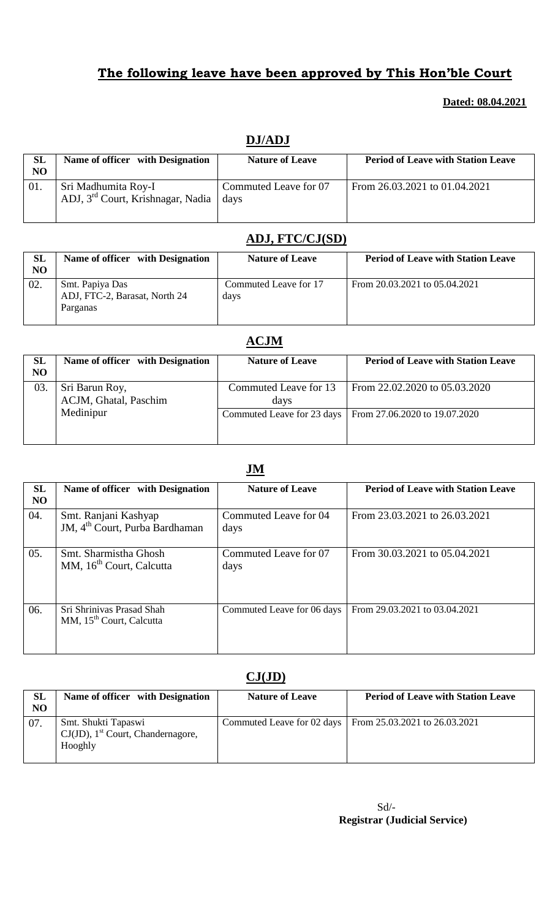### **Dated: 08.04.2021**

| SL  | Name of officer with Designation                                     | <b>Nature of Leave</b>        | <b>Period of Leave with Station Leave</b> |
|-----|----------------------------------------------------------------------|-------------------------------|-------------------------------------------|
| NO  |                                                                      |                               |                                           |
| 01. | Sri Madhumita Roy-I<br>ADJ, 3 <sup>rd</sup> Court, Krishnagar, Nadia | Commuted Leave for 07<br>days | From 26.03.2021 to 01.04.2021             |

### **DJ/ADJ**

### **ADJ, FTC/CJ(SD)**

| <b>SL</b><br>NO | Name of officer with Designation                             | <b>Nature of Leave</b>        | <b>Period of Leave with Station Leave</b> |
|-----------------|--------------------------------------------------------------|-------------------------------|-------------------------------------------|
| 02.             | Smt. Papiya Das<br>ADJ, FTC-2, Barasat, North 24<br>Parganas | Commuted Leave for 17<br>days | From 20.03.2021 to 05.04.2021             |

## **ACJM**

| <b>SL</b><br>N <sub>O</sub> | Name of officer with Designation        | <b>Nature of Leave</b>        | <b>Period of Leave with Station Leave</b>                  |
|-----------------------------|-----------------------------------------|-------------------------------|------------------------------------------------------------|
| 03.                         | Sri Barun Roy,<br>ACJM, Ghatal, Paschim | Commuted Leave for 13<br>days | From 22.02.2020 to 05.03.2020                              |
|                             | Medinipur                               |                               | Commuted Leave for 23 days   From 27.06.2020 to 19.07.2020 |

### **JM**

| SL<br>N <sub>O</sub> | Name of officer with Designation                                   | <b>Nature of Leave</b>        | <b>Period of Leave with Station Leave</b> |
|----------------------|--------------------------------------------------------------------|-------------------------------|-------------------------------------------|
| 04.                  | Smt. Ranjani Kashyap<br>JM, 4 <sup>th</sup> Court, Purba Bardhaman | Commuted Leave for 04<br>days | From 23.03.2021 to 26.03.2021             |
| 05.                  | Smt. Sharmistha Ghosh<br>MM, 16 <sup>th</sup> Court, Calcutta      | Commuted Leave for 07<br>days | From 30.03.2021 to 05.04.2021             |
| 06.                  | Sri Shrinivas Prasad Shah<br>MM, 15 <sup>th</sup> Court, Calcutta  | Commuted Leave for 06 days    | From 29.03.2021 to 03.04.2021             |

## **CJ(JD)**

| SL<br>NO | Name of officer with Designation                                                   | <b>Nature of Leave</b>     | <b>Period of Leave with Station Leave</b> |
|----------|------------------------------------------------------------------------------------|----------------------------|-------------------------------------------|
| 07.      | Smt. Shukti Tapaswi<br>$CJ(JD)$ , 1 <sup>st</sup> Court, Chandernagore,<br>Hooghly | Commuted Leave for 02 days | From 25.03.2021 to 26.03.2021             |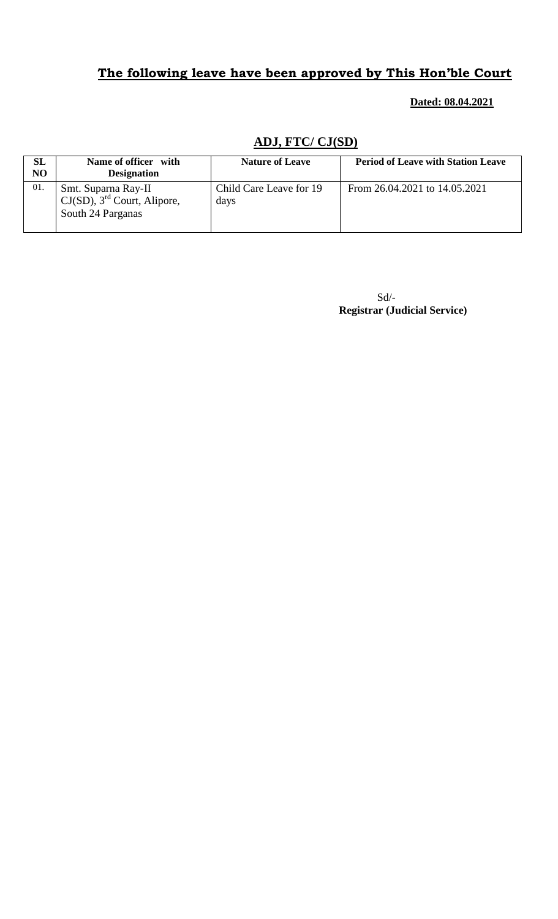#### **Dated: 08.04.2021**

### **ADJ, FTC/ CJ(SD)**

| SL<br>NO | Name of officer with<br><b>Designation</b>                                             | <b>Nature of Leave</b>          | <b>Period of Leave with Station Leave</b> |
|----------|----------------------------------------------------------------------------------------|---------------------------------|-------------------------------------------|
| 01.      | Smt. Suparna Ray-II<br>$CJ(SD)$ , 3 <sup>rd</sup> Court, Alipore,<br>South 24 Parganas | Child Care Leave for 19<br>days | From 26.04.2021 to 14.05.2021             |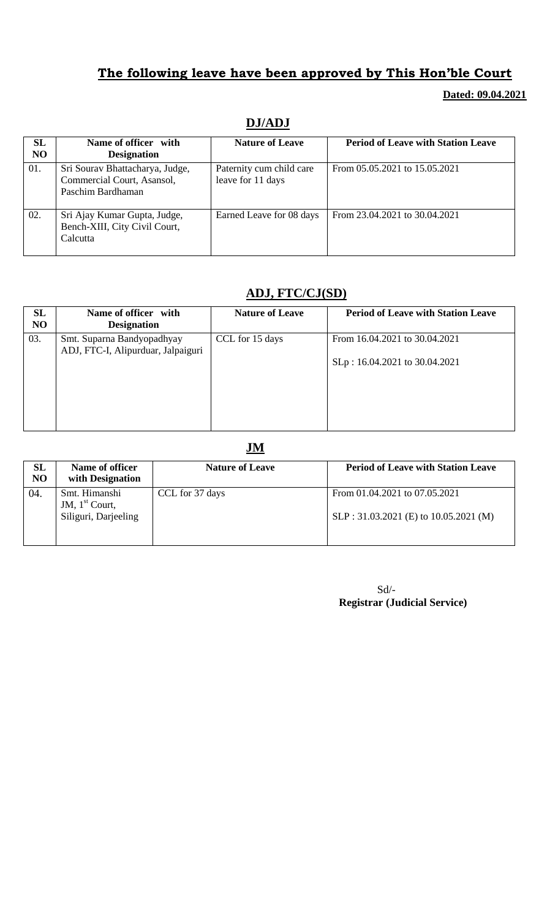#### **Dated: 09.04.2021**

| SL<br>N <sub>O</sub> | Name of officer with<br><b>Designation</b>                                         | <b>Nature of Leave</b>                        | <b>Period of Leave with Station Leave</b> |
|----------------------|------------------------------------------------------------------------------------|-----------------------------------------------|-------------------------------------------|
| 01.                  | Sri Sourav Bhattacharya, Judge,<br>Commercial Court, Asansol,<br>Paschim Bardhaman | Paternity cum child care<br>leave for 11 days | From 05.05.2021 to 15.05.2021             |
| 02.                  | Sri Ajay Kumar Gupta, Judge,<br>Bench-XIII, City Civil Court,<br>Calcutta          | Earned Leave for 08 days                      | From 23.04.2021 to 30.04.2021             |

### **DJ/ADJ**

### **ADJ, FTC/CJ(SD)**

| SL<br>N <sub>O</sub> | Name of officer with<br><b>Designation</b>                       | <b>Nature of Leave</b> | <b>Period of Leave with Station Leave</b>                      |
|----------------------|------------------------------------------------------------------|------------------------|----------------------------------------------------------------|
| 03.                  | Smt. Suparna Bandyopadhyay<br>ADJ, FTC-I, Alipurduar, Jalpaiguri | CCL for 15 days        | From 16.04.2021 to 30.04.2021<br>SLp: 16.04.2021 to 30.04.2021 |

#### **JM**

| SL<br>NO | Name of officer<br>with Designation                       | <b>Nature of Leave</b> | <b>Period of Leave with Station Leave</b>                              |
|----------|-----------------------------------------------------------|------------------------|------------------------------------------------------------------------|
| 04.      | Smt. Himanshi<br>JM, $1st$ Court,<br>Siliguri, Darjeeling | CCL for 37 days        | From 01.04.2021 to 07.05.2021<br>SLP: 31.03.2021 (E) to 10.05.2021 (M) |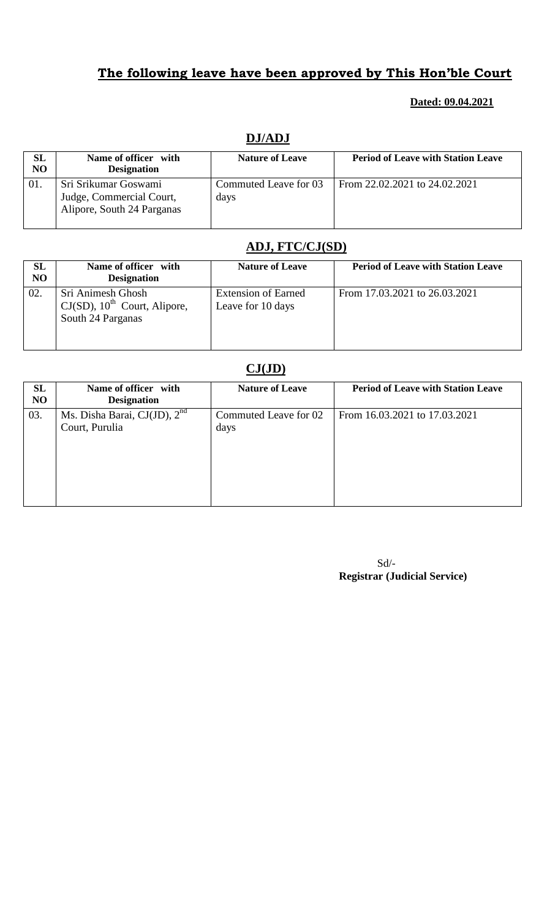#### **Dated: 09.04.2021**

| SL  | Name of officer with                                                           | <b>Nature of Leave</b>        | <b>Period of Leave with Station Leave</b> |
|-----|--------------------------------------------------------------------------------|-------------------------------|-------------------------------------------|
| NO  | <b>Designation</b>                                                             |                               |                                           |
| 01. | Sri Srikumar Goswami<br>Judge, Commercial Court,<br>Alipore, South 24 Parganas | Commuted Leave for 03<br>days | From 22.02.2021 to 24.02.2021             |

### **DJ/ADJ**

### **ADJ, FTC/CJ(SD)**

| SL<br><b>NO</b> | Name of officer with<br><b>Designation</b>                                            | <b>Nature of Leave</b>                          | <b>Period of Leave with Station Leave</b> |
|-----------------|---------------------------------------------------------------------------------------|-------------------------------------------------|-------------------------------------------|
| 02.             | Sri Animesh Ghosh<br>$CJ(SD)$ , 10 <sup>th</sup> Court, Alipore,<br>South 24 Parganas | <b>Extension of Earned</b><br>Leave for 10 days | From 17.03.2021 to 26.03.2021             |

### **CJ(JD)**

| SL<br>N <sub>O</sub> | Name of officer with<br><b>Designation</b>       | <b>Nature of Leave</b>        | <b>Period of Leave with Station Leave</b> |
|----------------------|--------------------------------------------------|-------------------------------|-------------------------------------------|
| 03.                  | Ms. Disha Barai, CJ(JD), $2nd$<br>Court, Purulia | Commuted Leave for 02<br>days | From 16.03.2021 to 17.03.2021             |